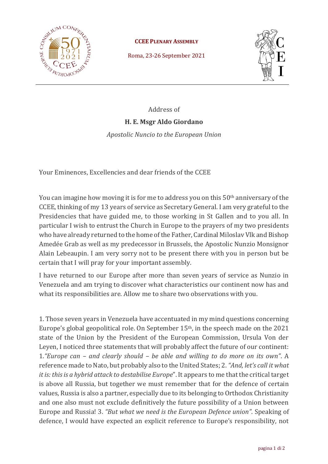

**CCEE PLENARY ASSEMBLY**

Roma, 23-26 September 2021



Address of

## **H. E. Msgr Aldo Giordano**

*Apostolic Nuncio to the European Union*

Your Eminences, Excellencies and dear friends of the CCEE

You can imagine how moving it is for me to address you on this 50<sup>th</sup> anniversary of the CCEE, thinking of my 13 years of service as Secretary General. I am very grateful to the Presidencies that have guided me, to those working in St Gallen and to you all. In particular I wish to entrust the Church in Europe to the prayers of my two presidents who have already returned to the home of the Father, Cardinal Miloslav Vlk and Bishop Amedée Grab as well as my predecessor in Brussels, the Apostolic Nunzio Monsignor Alain Lebeaupin. I am very sorry not to be present there with you in person but be certain that I will pray for your important assembly.

I have returned to our Europe after more than seven years of service as Nunzio in Venezuela and am trying to discover what characteristics our continent now has and what its responsibilities are. Allow me to share two observations with you.

1. Those seven years in Venezuela have accentuated in my mind questions concerning Europe's global geopolitical role. On September 15th, in the speech made on the 2021 state of the Union by the President of the European Commission, Ursula Von der Leyen, I noticed three statements that will probably affect the future of our continent: 1.*"Europe can – and clearly should – be able and willing to do more on its own"*. A reference made to Nato, but probably also to the United States; 2. *"And, let's call it what it is: this is a hybrid attack to destabilise Europe*". It appears to me that the critical target is above all Russia, but together we must remember that for the defence of certain values, Russia is also a partner, especially due to its belonging to Orthodox Christianity and one also must not exclude definitively the future possibility of a Union between Europe and Russia! 3. *"But what we need is the European Defence union"*. Speaking of defence, I would have expected an explicit reference to Europe's responsibility, not